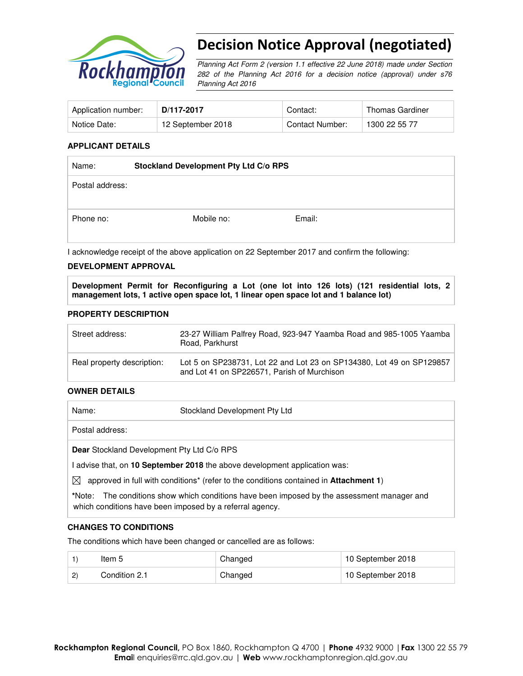

# Decision Notice Approval (negotiated)

Planning Act Form 2 (version 1.1 effective 22 June 2018) made under Section 282 of the Planning Act 2016 for a decision notice (approval) under s76 Planning Act 2016

| Application number: | D/117-2017        | Contact:        | Thomas Gardiner |
|---------------------|-------------------|-----------------|-----------------|
| Notice Date:        | 12 September 2018 | Contact Number: | 1300 22 55 77   |

#### **APPLICANT DETAILS**

| Name:           | Stockland Development Pty Ltd C/o RPS |  |
|-----------------|---------------------------------------|--|
| Postal address: |                                       |  |
| Phone no:       | Email:<br>Mobile no:                  |  |
|                 |                                       |  |

I acknowledge receipt of the above application on 22 September 2017 and confirm the following:

#### **DEVELOPMENT APPROVAL**

**Development Permit for Reconfiguring a Lot (one lot into 126 lots) (121 residential lots, 2 management lots, 1 active open space lot, 1 linear open space lot and 1 balance lot)** 

#### **PROPERTY DESCRIPTION**

| Street address:            | 23-27 William Palfrey Road, 923-947 Yaamba Road and 985-1005 Yaamba<br>Road, Parkhurst                              |
|----------------------------|---------------------------------------------------------------------------------------------------------------------|
| Real property description: | Lot 5 on SP238731, Lot 22 and Lot 23 on SP134380, Lot 49 on SP129857<br>and Lot 41 on SP226571, Parish of Murchison |

#### **OWNER DETAILS**

|             | Name:                                      | Stockland Development Pty Ltd                                                                             |  |  |
|-------------|--------------------------------------------|-----------------------------------------------------------------------------------------------------------|--|--|
|             | Postal address:                            |                                                                                                           |  |  |
|             | Dear Stockland Development Pty Ltd C/o RPS |                                                                                                           |  |  |
|             |                                            | I advise that, on 10 September 2018 the above development application was:                                |  |  |
| $\boxtimes$ |                                            | approved in full with conditions <sup>*</sup> (refer to the conditions contained in <b>Attachment 1</b> ) |  |  |

**\***Note:The conditions show which conditions have been imposed by the assessment manager and which conditions have been imposed by a referral agency.

#### **CHANGES TO CONDITIONS**

The conditions which have been changed or cancelled are as follows:

|              | Item 5        | Changed | 10 September 2018 |
|--------------|---------------|---------|-------------------|
| $\mathbf{2}$ | Condition 2.1 | Changed | 10 September 2018 |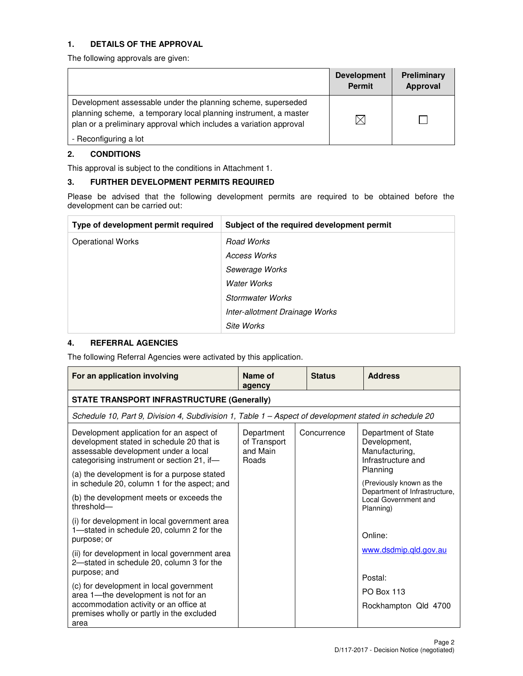## **1. DETAILS OF THE APPROVAL**

The following approvals are given:

|                                                                                                                                                                                                        | <b>Development</b><br><b>Permit</b> | <b>Preliminary</b><br>Approval |
|--------------------------------------------------------------------------------------------------------------------------------------------------------------------------------------------------------|-------------------------------------|--------------------------------|
| Development assessable under the planning scheme, superseded<br>planning scheme, a temporary local planning instrument, a master<br>plan or a preliminary approval which includes a variation approval | $\boxtimes$                         |                                |
| - Reconfiguring a lot                                                                                                                                                                                  |                                     |                                |

## **2. CONDITIONS**

This approval is subject to the conditions in Attachment 1.

## **3. FURTHER DEVELOPMENT PERMITS REQUIRED**

Please be advised that the following development permits are required to be obtained before the development can be carried out:

| Type of development permit required | Subject of the required development permit |
|-------------------------------------|--------------------------------------------|
| <b>Operational Works</b>            | Road Works                                 |
|                                     | <b>Access Works</b>                        |
|                                     | Sewerage Works                             |
|                                     | <b>Water Works</b>                         |
|                                     | <b>Stormwater Works</b>                    |
|                                     | Inter-allotment Drainage Works             |
|                                     | <b>Site Works</b>                          |

## **4. REFERRAL AGENCIES**

The following Referral Agencies were activated by this application.

| For an application involving                                                                                                                                                | Name of<br>agency                               | <b>Status</b> | <b>Address</b>                                                              |
|-----------------------------------------------------------------------------------------------------------------------------------------------------------------------------|-------------------------------------------------|---------------|-----------------------------------------------------------------------------|
| <b>STATE TRANSPORT INFRASTRUCTURE (Generally)</b>                                                                                                                           |                                                 |               |                                                                             |
| Schedule 10, Part 9, Division 4, Subdivision 1, Table 1 - Aspect of development stated in schedule 20                                                                       |                                                 |               |                                                                             |
| Development application for an aspect of<br>development stated in schedule 20 that is<br>assessable development under a local<br>categorising instrument or section 21, if- | Department<br>of Transport<br>and Main<br>Roads | Concurrence   | Department of State<br>Development,<br>Manufacturing,<br>Infrastructure and |
| (a) the development is for a purpose stated<br>in schedule 20, column 1 for the aspect; and                                                                                 |                                                 |               | Planning<br>(Previously known as the                                        |
| (b) the development meets or exceeds the<br>threshold-                                                                                                                      |                                                 |               | Department of Infrastructure,<br>Local Government and<br>Planning)          |
| (i) for development in local government area<br>1-stated in schedule 20, column 2 for the<br>purpose; or                                                                    |                                                 |               | Online:                                                                     |
| (ii) for development in local government area<br>2-stated in schedule 20, column 3 for the<br>purpose; and                                                                  |                                                 |               | www.dsdmip.qld.gov.au<br>Postal:                                            |
| (c) for development in local government<br>area 1-the development is not for an<br>accommodation activity or an office at<br>premises wholly or partly in the excluded      |                                                 |               | <b>PO Box 113</b><br>Rockhampton Qld 4700                                   |
| area                                                                                                                                                                        |                                                 |               |                                                                             |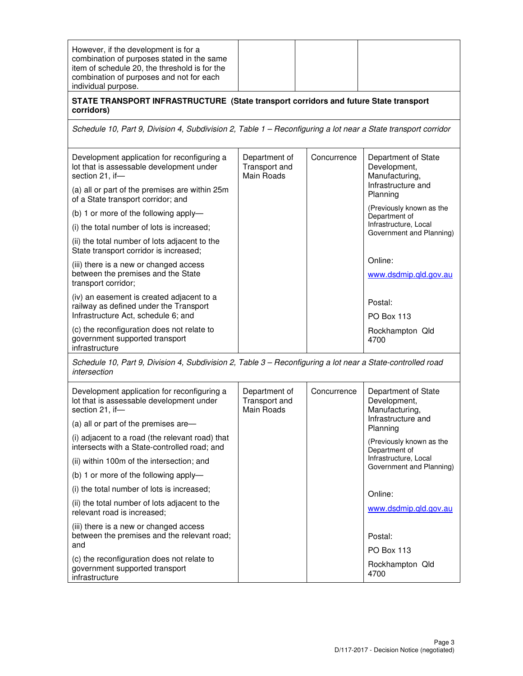| However, if the development is for a<br>combination of purposes stated in the same<br>item of schedule 20, the threshold is for the<br>combination of purposes and not for each<br>individual purpose. |                                                     |             |                                                                             |
|--------------------------------------------------------------------------------------------------------------------------------------------------------------------------------------------------------|-----------------------------------------------------|-------------|-----------------------------------------------------------------------------|
| STATE TRANSPORT INFRASTRUCTURE (State transport corridors and future State transport<br>corridors)                                                                                                     |                                                     |             |                                                                             |
| Schedule 10, Part 9, Division 4, Subdivision 2, Table 1 - Reconfiguring a lot near a State transport corridor                                                                                          |                                                     |             |                                                                             |
| Development application for reconfiguring a<br>lot that is assessable development under<br>section 21, if-                                                                                             | Department of<br>Transport and<br>Main Roads        | Concurrence | Department of State<br>Development,<br>Manufacturing,<br>Infrastructure and |
| (a) all or part of the premises are within 25m<br>of a State transport corridor; and                                                                                                                   |                                                     |             | Planning                                                                    |
| (b) 1 or more of the following apply-                                                                                                                                                                  |                                                     |             | (Previously known as the<br>Department of                                   |
| (i) the total number of lots is increased;                                                                                                                                                             |                                                     |             | Infrastructure, Local<br>Government and Planning)                           |
| (ii) the total number of lots adjacent to the<br>State transport corridor is increased;                                                                                                                |                                                     |             |                                                                             |
| (iii) there is a new or changed access                                                                                                                                                                 |                                                     |             | Online:                                                                     |
| between the premises and the State<br>transport corridor;                                                                                                                                              |                                                     |             | www.dsdmip.qld.gov.au                                                       |
| (iv) an easement is created adjacent to a<br>railway as defined under the Transport                                                                                                                    |                                                     |             | Postal:                                                                     |
| Infrastructure Act, schedule 6; and                                                                                                                                                                    |                                                     |             | <b>PO Box 113</b>                                                           |
| (c) the reconfiguration does not relate to<br>government supported transport<br>infrastructure                                                                                                         |                                                     |             | Rockhampton Qld<br>4700                                                     |
| Schedule 10, Part 9, Division 4, Subdivision 2, Table 3 - Reconfiguring a lot near a State-controlled road<br>intersection                                                                             |                                                     |             |                                                                             |
| Development application for reconfiguring a<br>lot that is assessable development under<br>section 21, if-                                                                                             | Department of<br>Transport and<br><b>Main Roads</b> | Concurrence | Department of State<br>Development,<br>Manufacturing,                       |
| (a) all or part of the premises are-                                                                                                                                                                   |                                                     |             | Infrastructure and<br>Planning                                              |
| (i) adjacent to a road (the relevant road) that<br>intersects with a State-controlled road; and                                                                                                        |                                                     |             | (Previously known as the<br>Department of                                   |
| (ii) within 100m of the intersection; and                                                                                                                                                              |                                                     |             | Infrastructure, Local<br>Government and Planning)                           |
| (b) 1 or more of the following apply-                                                                                                                                                                  |                                                     |             |                                                                             |
| (i) the total number of lots is increased;                                                                                                                                                             |                                                     |             | Online:                                                                     |
| (ii) the total number of lots adjacent to the<br>relevant road is increased;                                                                                                                           |                                                     |             | www.dsdmip.qld.gov.au                                                       |
| (iii) there is a new or changed access<br>between the premises and the relevant road;<br>and                                                                                                           |                                                     |             | Postal:<br><b>PO Box 113</b>                                                |
| (c) the reconfiguration does not relate to<br>government supported transport<br>infrastructure                                                                                                         |                                                     |             | Rockhampton Qld<br>4700                                                     |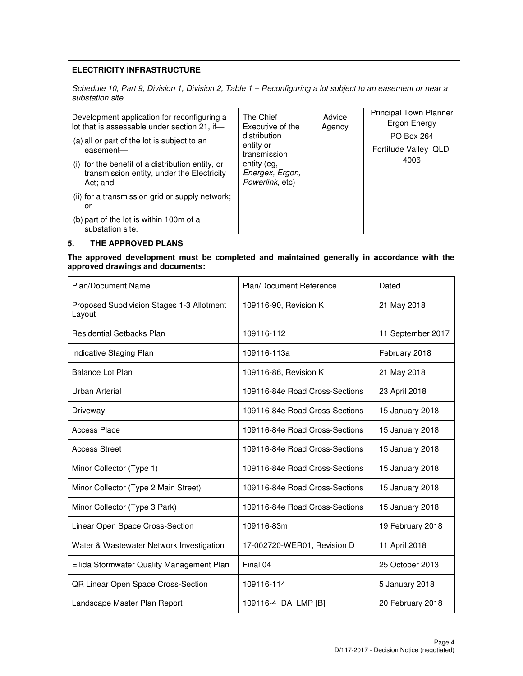## **ELECTRICITY INFRASTRUCTURE**

Schedule 10, Part 9, Division 1, Division 2, Table 1 - Reconfiguring a lot subject to an easement or near a substation site

| Development application for reconfiguring a<br>lot that is assessable under section 21, if-                | The Chief<br>Executive of the                     | Advice<br>Agency | <b>Principal Town Planner</b><br>Ergon Energy |
|------------------------------------------------------------------------------------------------------------|---------------------------------------------------|------------------|-----------------------------------------------|
| (a) all or part of the lot is subject to an                                                                | distribution<br>entity or                         |                  | <b>PO Box 264</b>                             |
| easement-                                                                                                  | transmission                                      |                  | Fortitude Valley QLD                          |
| (i) for the benefit of a distribution entity, or<br>transmission entity, under the Electricity<br>Act: and | entity (eg,<br>Energex, Ergon,<br>Powerlink, etc) |                  | 4006                                          |
| (ii) for a transmission grid or supply network;<br>or                                                      |                                                   |                  |                                               |
| (b) part of the lot is within 100m of a<br>substation site.                                                |                                                   |                  |                                               |

#### **5. THE APPROVED PLANS**

**The approved development must be completed and maintained generally in accordance with the approved drawings and documents:** 

| Plan/Document Name                                  | Plan/Document Reference        | Dated             |
|-----------------------------------------------------|--------------------------------|-------------------|
| Proposed Subdivision Stages 1-3 Allotment<br>Layout | 109116-90, Revision K          | 21 May 2018       |
| <b>Residential Setbacks Plan</b>                    | 109116-112                     | 11 September 2017 |
| Indicative Staging Plan                             | 109116-113a                    | February 2018     |
| <b>Balance Lot Plan</b>                             | 109116-86, Revision K          | 21 May 2018       |
| Urban Arterial                                      | 109116-84e Road Cross-Sections | 23 April 2018     |
| Driveway                                            | 109116-84e Road Cross-Sections | 15 January 2018   |
| <b>Access Place</b>                                 | 109116-84e Road Cross-Sections | 15 January 2018   |
| <b>Access Street</b>                                | 109116-84e Road Cross-Sections | 15 January 2018   |
| Minor Collector (Type 1)                            | 109116-84e Road Cross-Sections | 15 January 2018   |
| Minor Collector (Type 2 Main Street)                | 109116-84e Road Cross-Sections | 15 January 2018   |
| Minor Collector (Type 3 Park)                       | 109116-84e Road Cross-Sections | 15 January 2018   |
| Linear Open Space Cross-Section                     | 109116-83m                     | 19 February 2018  |
| Water & Wastewater Network Investigation            | 17-002720-WER01, Revision D    | 11 April 2018     |
| Ellida Stormwater Quality Management Plan           | Final 04                       | 25 October 2013   |
| QR Linear Open Space Cross-Section                  | 109116-114                     | 5 January 2018    |
| Landscape Master Plan Report                        | 109116-4 DA LMP [B]            | 20 February 2018  |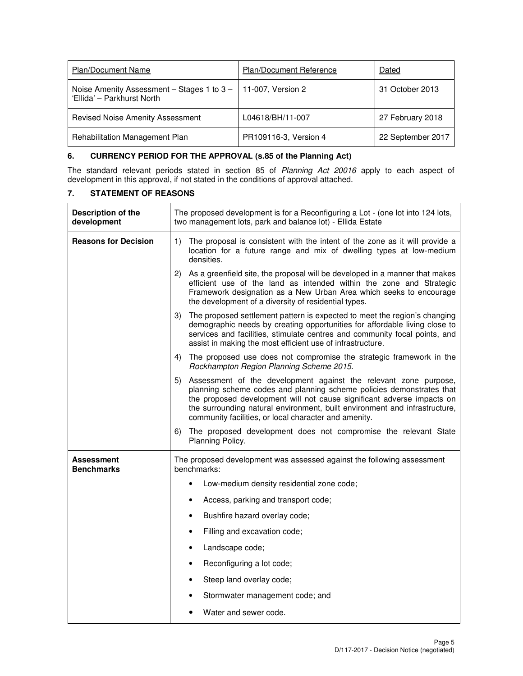| <b>Plan/Document Name</b>                                                                     | <b>Plan/Document Reference</b> | Dated             |
|-----------------------------------------------------------------------------------------------|--------------------------------|-------------------|
| Noise Amenity Assessment – Stages 1 to $3 - 11-007$ , Version 2<br>'Ellida' - Parkhurst North |                                | 31 October 2013   |
| <b>Revised Noise Amenity Assessment</b>                                                       | L04618/BH/11-007               | 27 February 2018  |
| Rehabilitation Management Plan                                                                | PR109116-3, Version 4          | 22 September 2017 |

## **6. CURRENCY PERIOD FOR THE APPROVAL (s.85 of the Planning Act)**

The standard relevant periods stated in section 85 of Planning Act 20016 apply to each aspect of development in this approval, if not stated in the conditions of approval attached.

## **7. STATEMENT OF REASONS**

| <b>Description of the</b><br>development | The proposed development is for a Reconfiguring a Lot - (one lot into 124 lots,<br>two management lots, park and balance lot) - Ellida Estate                                                                                                                                                                                                                   |  |  |  |
|------------------------------------------|-----------------------------------------------------------------------------------------------------------------------------------------------------------------------------------------------------------------------------------------------------------------------------------------------------------------------------------------------------------------|--|--|--|
| <b>Reasons for Decision</b>              | The proposal is consistent with the intent of the zone as it will provide a<br>1)<br>location for a future range and mix of dwelling types at low-medium<br>densities.                                                                                                                                                                                          |  |  |  |
|                                          | 2)<br>As a greenfield site, the proposal will be developed in a manner that makes<br>efficient use of the land as intended within the zone and Strategic<br>Framework designation as a New Urban Area which seeks to encourage<br>the development of a diversity of residential types.                                                                          |  |  |  |
|                                          | The proposed settlement pattern is expected to meet the region's changing<br>3)<br>demographic needs by creating opportunities for affordable living close to<br>services and facilities, stimulate centres and community focal points, and<br>assist in making the most efficient use of infrastructure.                                                       |  |  |  |
|                                          | 4)<br>The proposed use does not compromise the strategic framework in the<br>Rockhampton Region Planning Scheme 2015.                                                                                                                                                                                                                                           |  |  |  |
|                                          | Assessment of the development against the relevant zone purpose,<br>5)<br>planning scheme codes and planning scheme policies demonstrates that<br>the proposed development will not cause significant adverse impacts on<br>the surrounding natural environment, built environment and infrastructure,<br>community facilities, or local character and amenity. |  |  |  |
|                                          | The proposed development does not compromise the relevant State<br>6)<br>Planning Policy.                                                                                                                                                                                                                                                                       |  |  |  |
| <b>Assessment</b><br><b>Benchmarks</b>   | The proposed development was assessed against the following assessment<br>benchmarks:                                                                                                                                                                                                                                                                           |  |  |  |
|                                          | Low-medium density residential zone code;<br>$\bullet$                                                                                                                                                                                                                                                                                                          |  |  |  |
|                                          | Access, parking and transport code;<br>٠                                                                                                                                                                                                                                                                                                                        |  |  |  |
|                                          | Bushfire hazard overlay code;<br>٠                                                                                                                                                                                                                                                                                                                              |  |  |  |
|                                          | Filling and excavation code;<br>$\bullet$                                                                                                                                                                                                                                                                                                                       |  |  |  |
|                                          | Landscape code;<br>$\bullet$                                                                                                                                                                                                                                                                                                                                    |  |  |  |
|                                          | Reconfiguring a lot code;<br>$\bullet$                                                                                                                                                                                                                                                                                                                          |  |  |  |
|                                          | Steep land overlay code;<br>٠                                                                                                                                                                                                                                                                                                                                   |  |  |  |
|                                          | Stormwater management code; and                                                                                                                                                                                                                                                                                                                                 |  |  |  |
|                                          | Water and sewer code.                                                                                                                                                                                                                                                                                                                                           |  |  |  |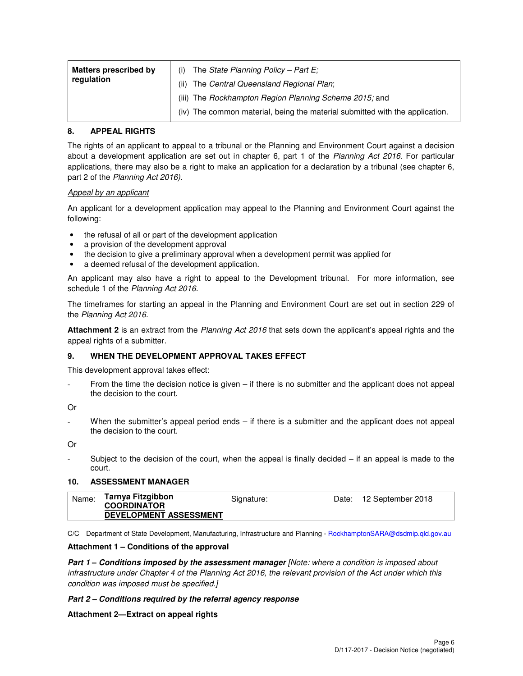| <b>Matters prescribed by</b><br>regulation | The State Planning Policy – Part E;<br>(i)<br>The Central Queensland Regional Plan;<br>(ii)                                            |
|--------------------------------------------|----------------------------------------------------------------------------------------------------------------------------------------|
|                                            | (iii) The Rockhampton Region Planning Scheme 2015; and<br>(iv) The common material, being the material submitted with the application. |

#### **8. APPEAL RIGHTS**

The rights of an applicant to appeal to a tribunal or the Planning and Environment Court against a decision about a development application are set out in chapter 6, part 1 of the Planning Act 2016. For particular applications, there may also be a right to make an application for a declaration by a tribunal (see chapter 6, part 2 of the Planning Act 2016).

#### Appeal by an applicant

An applicant for a development application may appeal to the Planning and Environment Court against the following:

- the refusal of all or part of the development application
- a provision of the development approval
- the decision to give a preliminary approval when a development permit was applied for
- a deemed refusal of the development application.

An applicant may also have a right to appeal to the Development tribunal. For more information, see schedule 1 of the Planning Act 2016.

The timeframes for starting an appeal in the Planning and Environment Court are set out in section 229 of the Planning Act 2016.

**Attachment 2** is an extract from the Planning Act 2016 that sets down the applicant's appeal rights and the appeal rights of a submitter.

#### **9. WHEN THE DEVELOPMENT APPROVAL TAKES EFFECT**

This development approval takes effect:

From the time the decision notice is given  $-$  if there is no submitter and the applicant does not appeal the decision to the court.

Or

When the submitter's appeal period ends  $-$  if there is a submitter and the applicant does not appeal the decision to the court.

Or

Subject to the decision of the court, when the appeal is finally decided  $-$  if an appeal is made to the court.

#### **10. ASSESSMENT MANAGER**

| Name: | Tarnya Fitzgibbon<br><b>COORDINATOR</b> | Signature: | Date: 12 September 2018 |
|-------|-----------------------------------------|------------|-------------------------|
|       | DEVELOPMENT ASSESSMENT                  |            |                         |

C/C Department of State Development, Manufacturing, Infrastructure and Planning - RockhamptonSARA@dsdmip.qld.gov.au

#### **Attachment 1 – Conditions of the approval**

**Part 1 – Conditions imposed by the assessment manager** [Note: where a condition is imposed about infrastructure under Chapter 4 of the Planning Act 2016, the relevant provision of the Act under which this condition was imposed must be specified.]

#### **Part 2 – Conditions required by the referral agency response**

#### **Attachment 2—Extract on appeal rights**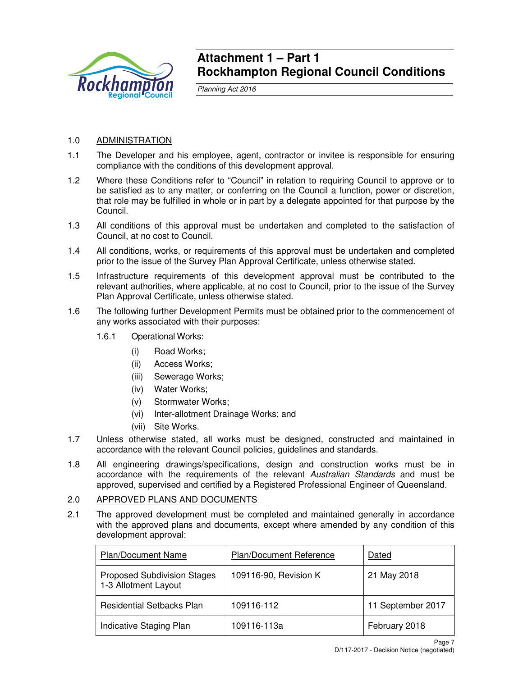

## **Attachment 1 – Part 1 Rockhampton Regional Council Conditions**

Planning Act 2016

## 1.0 ADMINISTRATION

- 1.1 The Developer and his employee, agent, contractor or invitee is responsible for ensuring compliance with the conditions of this development approval.
- 1.2 Where these Conditions refer to "Council" in relation to requiring Council to approve or to be satisfied as to any matter, or conferring on the Council a function, power or discretion, that role may be fulfilled in whole or in part by a delegate appointed for that purpose by the Council.
- 1.3 All conditions of this approval must be undertaken and completed to the satisfaction of Council, at no cost to Council.
- 1.4 All conditions, works, or requirements of this approval must be undertaken and completed prior to the issue of the Survey Plan Approval Certificate, unless otherwise stated.
- 1.5 Infrastructure requirements of this development approval must be contributed to the relevant authorities, where applicable, at no cost to Council, prior to the issue of the Survey Plan Approval Certificate, unless otherwise stated.
- 1.6 The following further Development Permits must be obtained prior to the commencement of any works associated with their purposes:
	- 1.6.1 Operational Works:
		- (i) Road Works;
			- (ii) Access Works;
			- (iii) Sewerage Works;
			- (iv) Water Works;
			- (v) Stormwater Works;
			- (vi) Inter-allotment Drainage Works; and
			- (vii) Site Works.
- 1.7 Unless otherwise stated, all works must be designed, constructed and maintained in accordance with the relevant Council policies, guidelines and standards.
- 1.8 All engineering drawings/specifications, design and construction works must be in accordance with the requirements of the relevant Australian Standards and must be approved, supervised and certified by a Registered Professional Engineer of Queensland.

## 2.0 APPROVED PLANS AND DOCUMENTS

2.1 The approved development must be completed and maintained generally in accordance with the approved plans and documents, except where amended by any condition of this development approval:

| <b>Plan/Document Name</b>                                  | <b>Plan/Document Reference</b> | Dated             |
|------------------------------------------------------------|--------------------------------|-------------------|
| <b>Proposed Subdivision Stages</b><br>1-3 Allotment Layout | 109116-90, Revision K          | 21 May 2018       |
| <b>Residential Setbacks Plan</b>                           | 109116-112                     | 11 September 2017 |
| Indicative Staging Plan                                    | 109116-113a                    | February 2018     |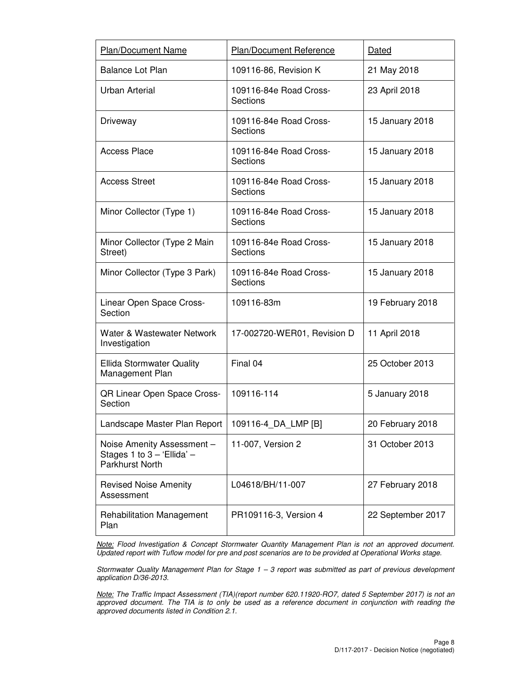| Plan/Document Name                                                               | Plan/Document Reference                   | Dated             |
|----------------------------------------------------------------------------------|-------------------------------------------|-------------------|
| <b>Balance Lot Plan</b>                                                          | 109116-86, Revision K                     | 21 May 2018       |
| <b>Urban Arterial</b>                                                            | 109116-84e Road Cross-<br>Sections        | 23 April 2018     |
| Driveway                                                                         | 109116-84e Road Cross-<br><b>Sections</b> | 15 January 2018   |
| <b>Access Place</b>                                                              | 109116-84e Road Cross-<br>Sections        | 15 January 2018   |
| <b>Access Street</b>                                                             | 109116-84e Road Cross-<br>Sections        | 15 January 2018   |
| Minor Collector (Type 1)                                                         | 109116-84e Road Cross-<br>Sections        | 15 January 2018   |
| Minor Collector (Type 2 Main<br>Street)                                          | 109116-84e Road Cross-<br>Sections        | 15 January 2018   |
| Minor Collector (Type 3 Park)                                                    | 109116-84e Road Cross-<br>Sections        | 15 January 2018   |
| Linear Open Space Cross-<br>Section                                              | 109116-83m                                | 19 February 2018  |
| Water & Wastewater Network<br>Investigation                                      | 17-002720-WER01, Revision D               | 11 April 2018     |
| <b>Ellida Stormwater Quality</b><br>Management Plan                              | Final 04                                  | 25 October 2013   |
| QR Linear Open Space Cross-<br>Section                                           | 109116-114                                | 5 January 2018    |
| Landscape Master Plan Report                                                     | 109116-4_DA_LMP [B]                       | 20 February 2018  |
| Noise Amenity Assessment -<br>Stages 1 to $3 - 2$ Ellida' $-$<br>Parkhurst North | 11-007, Version 2                         | 31 October 2013   |
| <b>Revised Noise Amenity</b><br>Assessment                                       | L04618/BH/11-007                          | 27 February 2018  |
| <b>Rehabilitation Management</b><br>Plan                                         | PR109116-3, Version 4                     | 22 September 2017 |

Note: Flood Investigation & Concept Stormwater Quantity Management Plan is not an approved document. Updated report with Tuflow model for pre and post scenarios are to be provided at Operational Works stage.

Stormwater Quality Management Plan for Stage 1 – 3 report was submitted as part of previous development application D/36-2013.

Note: The Traffic Impact Assessment (TIA)(report number 620.11920-RO7, dated 5 September 2017) is not an approved document. The TIA is to only be used as a reference document in conjunction with reading the approved documents listed in Condition 2.1.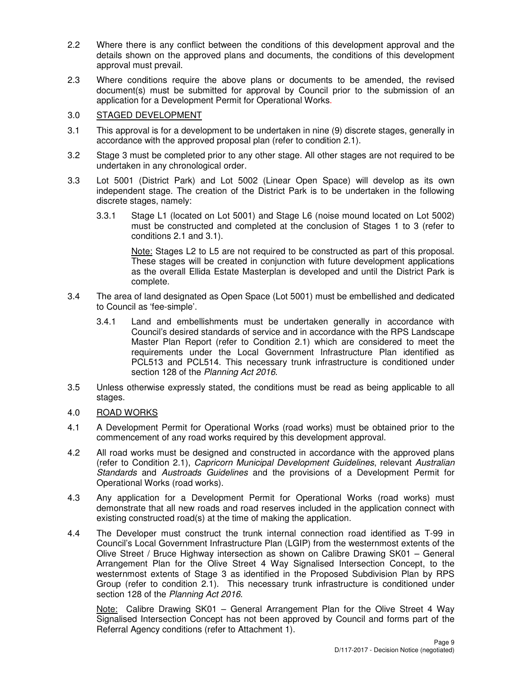- 2.2 Where there is any conflict between the conditions of this development approval and the details shown on the approved plans and documents, the conditions of this development approval must prevail.
- 2.3 Where conditions require the above plans or documents to be amended, the revised document(s) must be submitted for approval by Council prior to the submission of an application for a Development Permit for Operational Works.

## 3.0 STAGED DEVELOPMENT

- 3.1 This approval is for a development to be undertaken in nine (9) discrete stages, generally in accordance with the approved proposal plan (refer to condition 2.1).
- 3.2 Stage 3 must be completed prior to any other stage. All other stages are not required to be undertaken in any chronological order.
- 3.3 Lot 5001 (District Park) and Lot 5002 (Linear Open Space) will develop as its own independent stage. The creation of the District Park is to be undertaken in the following discrete stages, namely:
	- 3.3.1 Stage L1 (located on Lot 5001) and Stage L6 (noise mound located on Lot 5002) must be constructed and completed at the conclusion of Stages 1 to 3 (refer to conditions 2.1 and 3.1).

Note: Stages L2 to L5 are not required to be constructed as part of this proposal. These stages will be created in conjunction with future development applications as the overall Ellida Estate Masterplan is developed and until the District Park is complete.

- 3.4 The area of land designated as Open Space (Lot 5001) must be embellished and dedicated to Council as 'fee-simple'.
	- 3.4.1 Land and embellishments must be undertaken generally in accordance with Council's desired standards of service and in accordance with the RPS Landscape Master Plan Report (refer to Condition 2.1) which are considered to meet the requirements under the Local Government Infrastructure Plan identified as PCL513 and PCL514. This necessary trunk infrastructure is conditioned under section 128 of the Planning Act 2016.
- 3.5 Unless otherwise expressly stated, the conditions must be read as being applicable to all stages.
- 4.0 ROAD WORKS
- 4.1 A Development Permit for Operational Works (road works) must be obtained prior to the commencement of any road works required by this development approval.
- 4.2 All road works must be designed and constructed in accordance with the approved plans (refer to Condition 2.1), Capricorn Municipal Development Guidelines, relevant Australian Standards and Austroads Guidelines and the provisions of a Development Permit for Operational Works (road works).
- 4.3 Any application for a Development Permit for Operational Works (road works) must demonstrate that all new roads and road reserves included in the application connect with existing constructed road(s) at the time of making the application.
- 4.4 The Developer must construct the trunk internal connection road identified as T-99 in Council's Local Government Infrastructure Plan (LGIP) from the westernmost extents of the Olive Street / Bruce Highway intersection as shown on Calibre Drawing SK01 – General Arrangement Plan for the Olive Street 4 Way Signalised Intersection Concept, to the westernmost extents of Stage 3 as identified in the Proposed Subdivision Plan by RPS Group (refer to condition 2.1). This necessary trunk infrastructure is conditioned under section 128 of the Planning Act 2016.

Note: Calibre Drawing SK01 – General Arrangement Plan for the Olive Street 4 Way Signalised Intersection Concept has not been approved by Council and forms part of the Referral Agency conditions (refer to Attachment 1).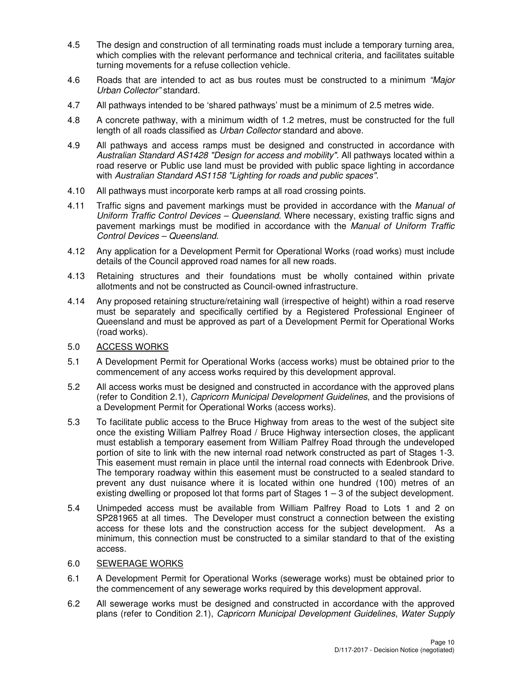- 4.5 The design and construction of all terminating roads must include a temporary turning area, which complies with the relevant performance and technical criteria, and facilitates suitable turning movements for a refuse collection vehicle.
- 4.6 Roads that are intended to act as bus routes must be constructed to a minimum "Major Urban Collector" standard.
- 4.7 All pathways intended to be 'shared pathways' must be a minimum of 2.5 metres wide.
- 4.8 A concrete pathway, with a minimum width of 1.2 metres, must be constructed for the full length of all roads classified as Urban Collector standard and above.
- 4.9 All pathways and access ramps must be designed and constructed in accordance with Australian Standard AS1428 "Design for access and mobility". All pathways located within a road reserve or Public use land must be provided with public space lighting in accordance with Australian Standard AS1158 "Lighting for roads and public spaces".
- 4.10 All pathways must incorporate kerb ramps at all road crossing points.
- 4.11 Traffic signs and pavement markings must be provided in accordance with the Manual of Uniform Traffic Control Devices – Queensland. Where necessary, existing traffic signs and pavement markings must be modified in accordance with the Manual of Uniform Traffic Control Devices – Queensland.
- 4.12 Any application for a Development Permit for Operational Works (road works) must include details of the Council approved road names for all new roads.
- 4.13 Retaining structures and their foundations must be wholly contained within private allotments and not be constructed as Council-owned infrastructure.
- 4.14 Any proposed retaining structure/retaining wall (irrespective of height) within a road reserve must be separately and specifically certified by a Registered Professional Engineer of Queensland and must be approved as part of a Development Permit for Operational Works (road works).
- 5.0 ACCESS WORKS
- 5.1 A Development Permit for Operational Works (access works) must be obtained prior to the commencement of any access works required by this development approval.
- 5.2 All access works must be designed and constructed in accordance with the approved plans (refer to Condition 2.1), Capricorn Municipal Development Guidelines, and the provisions of a Development Permit for Operational Works (access works).
- 5.3 To facilitate public access to the Bruce Highway from areas to the west of the subject site once the existing William Palfrey Road / Bruce Highway intersection closes, the applicant must establish a temporary easement from William Palfrey Road through the undeveloped portion of site to link with the new internal road network constructed as part of Stages 1-3. This easement must remain in place until the internal road connects with Edenbrook Drive. The temporary roadway within this easement must be constructed to a sealed standard to prevent any dust nuisance where it is located within one hundred (100) metres of an existing dwelling or proposed lot that forms part of Stages 1 – 3 of the subject development.
- 5.4 Unimpeded access must be available from William Palfrey Road to Lots 1 and 2 on SP281965 at all times. The Developer must construct a connection between the existing access for these lots and the construction access for the subject development. As a minimum, this connection must be constructed to a similar standard to that of the existing access.

## 6.0 SEWERAGE WORKS

- 6.1 A Development Permit for Operational Works (sewerage works) must be obtained prior to the commencement of any sewerage works required by this development approval.
- 6.2 All sewerage works must be designed and constructed in accordance with the approved plans (refer to Condition 2.1), Capricorn Municipal Development Guidelines, Water Supply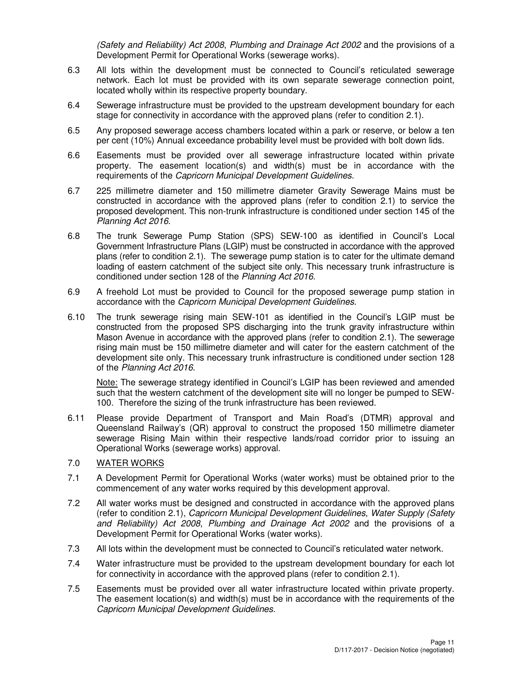(Safety and Reliability) Act 2008, Plumbing and Drainage Act 2002 and the provisions of a Development Permit for Operational Works (sewerage works).

- 6.3 All lots within the development must be connected to Council's reticulated sewerage network. Each lot must be provided with its own separate sewerage connection point, located wholly within its respective property boundary.
- 6.4 Sewerage infrastructure must be provided to the upstream development boundary for each stage for connectivity in accordance with the approved plans (refer to condition 2.1).
- 6.5 Any proposed sewerage access chambers located within a park or reserve, or below a ten per cent (10%) Annual exceedance probability level must be provided with bolt down lids.
- 6.6 Easements must be provided over all sewerage infrastructure located within private property. The easement location(s) and width(s) must be in accordance with the requirements of the Capricorn Municipal Development Guidelines.
- 6.7 225 millimetre diameter and 150 millimetre diameter Gravity Sewerage Mains must be constructed in accordance with the approved plans (refer to condition 2.1) to service the proposed development. This non-trunk infrastructure is conditioned under section 145 of the Planning Act 2016.
- 6.8 The trunk Sewerage Pump Station (SPS) SEW-100 as identified in Council's Local Government Infrastructure Plans (LGIP) must be constructed in accordance with the approved plans (refer to condition 2.1). The sewerage pump station is to cater for the ultimate demand loading of eastern catchment of the subject site only. This necessary trunk infrastructure is conditioned under section 128 of the Planning Act 2016.
- 6.9 A freehold Lot must be provided to Council for the proposed sewerage pump station in accordance with the Capricorn Municipal Development Guidelines.
- 6.10 The trunk sewerage rising main SEW-101 as identified in the Council's LGIP must be constructed from the proposed SPS discharging into the trunk gravity infrastructure within Mason Avenue in accordance with the approved plans (refer to condition 2.1). The sewerage rising main must be 150 millimetre diameter and will cater for the eastern catchment of the development site only. This necessary trunk infrastructure is conditioned under section 128 of the Planning Act 2016.

Note: The sewerage strategy identified in Council's LGIP has been reviewed and amended such that the western catchment of the development site will no longer be pumped to SEW-100. Therefore the sizing of the trunk infrastructure has been reviewed.

6.11 Please provide Department of Transport and Main Road's (DTMR) approval and Queensland Railway's (QR) approval to construct the proposed 150 millimetre diameter sewerage Rising Main within their respective lands/road corridor prior to issuing an Operational Works (sewerage works) approval.

## 7.0 WATER WORKS

- 7.1 A Development Permit for Operational Works (water works) must be obtained prior to the commencement of any water works required by this development approval.
- 7.2 All water works must be designed and constructed in accordance with the approved plans (refer to condition 2.1), Capricorn Municipal Development Guidelines, Water Supply (Safety and Reliability) Act 2008, Plumbing and Drainage Act 2002 and the provisions of a Development Permit for Operational Works (water works).
- 7.3 All lots within the development must be connected to Council's reticulated water network.
- 7.4 Water infrastructure must be provided to the upstream development boundary for each lot for connectivity in accordance with the approved plans (refer to condition 2.1).
- 7.5 Easements must be provided over all water infrastructure located within private property. The easement location(s) and width(s) must be in accordance with the requirements of the Capricorn Municipal Development Guidelines.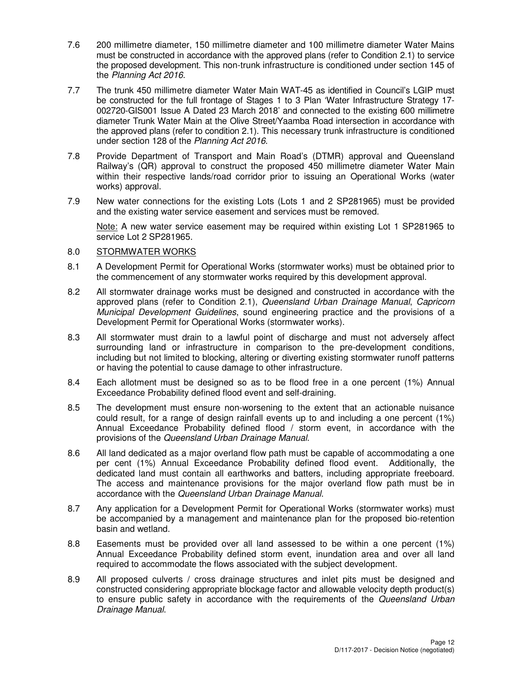- 7.6 200 millimetre diameter, 150 millimetre diameter and 100 millimetre diameter Water Mains must be constructed in accordance with the approved plans (refer to Condition 2.1) to service the proposed development. This non-trunk infrastructure is conditioned under section 145 of the Planning Act 2016.
- 7.7 The trunk 450 millimetre diameter Water Main WAT-45 as identified in Council's LGIP must be constructed for the full frontage of Stages 1 to 3 Plan 'Water Infrastructure Strategy 17- 002720-GIS001 Issue A Dated 23 March 2018' and connected to the existing 600 millimetre diameter Trunk Water Main at the Olive Street/Yaamba Road intersection in accordance with the approved plans (refer to condition 2.1). This necessary trunk infrastructure is conditioned under section 128 of the Planning Act 2016.
- 7.8 Provide Department of Transport and Main Road's (DTMR) approval and Queensland Railway's (QR) approval to construct the proposed 450 millimetre diameter Water Main within their respective lands/road corridor prior to issuing an Operational Works (water works) approval.
- 7.9 New water connections for the existing Lots (Lots 1 and 2 SP281965) must be provided and the existing water service easement and services must be removed.

Note: A new water service easement may be required within existing Lot 1 SP281965 to service Lot 2 SP281965.

## 8.0 STORMWATER WORKS

- 8.1 A Development Permit for Operational Works (stormwater works) must be obtained prior to the commencement of any stormwater works required by this development approval.
- 8.2 All stormwater drainage works must be designed and constructed in accordance with the approved plans (refer to Condition 2.1), Queensland Urban Drainage Manual, Capricorn Municipal Development Guidelines, sound engineering practice and the provisions of a Development Permit for Operational Works (stormwater works).
- 8.3 All stormwater must drain to a lawful point of discharge and must not adversely affect surrounding land or infrastructure in comparison to the pre-development conditions, including but not limited to blocking, altering or diverting existing stormwater runoff patterns or having the potential to cause damage to other infrastructure.
- 8.4 Each allotment must be designed so as to be flood free in a one percent (1%) Annual Exceedance Probability defined flood event and self-draining.
- 8.5 The development must ensure non-worsening to the extent that an actionable nuisance could result, for a range of design rainfall events up to and including a one percent (1%) Annual Exceedance Probability defined flood / storm event, in accordance with the provisions of the Queensland Urban Drainage Manual.
- 8.6 All land dedicated as a major overland flow path must be capable of accommodating a one per cent (1%) Annual Exceedance Probability defined flood event. Additionally, the dedicated land must contain all earthworks and batters, including appropriate freeboard. The access and maintenance provisions for the major overland flow path must be in accordance with the Queensland Urban Drainage Manual.
- 8.7 Any application for a Development Permit for Operational Works (stormwater works) must be accompanied by a management and maintenance plan for the proposed bio-retention basin and wetland.
- 8.8 Easements must be provided over all land assessed to be within a one percent (1%) Annual Exceedance Probability defined storm event, inundation area and over all land required to accommodate the flows associated with the subject development.
- 8.9 All proposed culverts / cross drainage structures and inlet pits must be designed and constructed considering appropriate blockage factor and allowable velocity depth product(s) to ensure public safety in accordance with the requirements of the Queensland Urban Drainage Manual.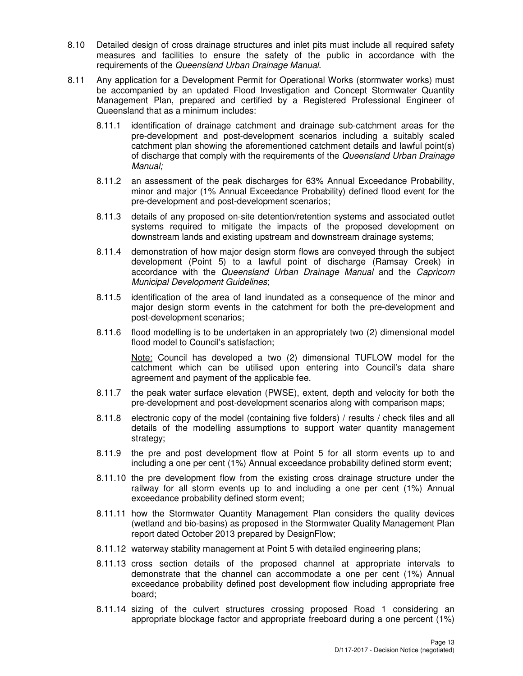- 8.10 Detailed design of cross drainage structures and inlet pits must include all required safety measures and facilities to ensure the safety of the public in accordance with the requirements of the Queensland Urban Drainage Manual.
- 8.11 Any application for a Development Permit for Operational Works (stormwater works) must be accompanied by an updated Flood Investigation and Concept Stormwater Quantity Management Plan, prepared and certified by a Registered Professional Engineer of Queensland that as a minimum includes:
	- 8.11.1 identification of drainage catchment and drainage sub-catchment areas for the pre-development and post-development scenarios including a suitably scaled catchment plan showing the aforementioned catchment details and lawful point(s) of discharge that comply with the requirements of the Queensland Urban Drainage Manual;
	- 8.11.2 an assessment of the peak discharges for 63% Annual Exceedance Probability, minor and major (1% Annual Exceedance Probability) defined flood event for the pre-development and post-development scenarios;
	- 8.11.3 details of any proposed on-site detention/retention systems and associated outlet systems required to mitigate the impacts of the proposed development on downstream lands and existing upstream and downstream drainage systems;
	- 8.11.4 demonstration of how major design storm flows are conveyed through the subject development (Point 5) to a lawful point of discharge (Ramsay Creek) in accordance with the Queensland Urban Drainage Manual and the Capricorn Municipal Development Guidelines;
	- 8.11.5 identification of the area of land inundated as a consequence of the minor and major design storm events in the catchment for both the pre-development and post-development scenarios;
	- 8.11.6 flood modelling is to be undertaken in an appropriately two (2) dimensional model flood model to Council's satisfaction;

Note: Council has developed a two (2) dimensional TUFLOW model for the catchment which can be utilised upon entering into Council's data share agreement and payment of the applicable fee.

- 8.11.7 the peak water surface elevation (PWSE), extent, depth and velocity for both the pre-development and post-development scenarios along with comparison maps;
- 8.11.8 electronic copy of the model (containing five folders) / results / check files and all details of the modelling assumptions to support water quantity management strategy;
- 8.11.9 the pre and post development flow at Point 5 for all storm events up to and including a one per cent (1%) Annual exceedance probability defined storm event;
- 8.11.10 the pre development flow from the existing cross drainage structure under the railway for all storm events up to and including a one per cent (1%) Annual exceedance probability defined storm event;
- 8.11.11 how the Stormwater Quantity Management Plan considers the quality devices (wetland and bio-basins) as proposed in the Stormwater Quality Management Plan report dated October 2013 prepared by DesignFlow;
- 8.11.12 waterway stability management at Point 5 with detailed engineering plans;
- 8.11.13 cross section details of the proposed channel at appropriate intervals to demonstrate that the channel can accommodate a one per cent (1%) Annual exceedance probability defined post development flow including appropriate free board;
- 8.11.14 sizing of the culvert structures crossing proposed Road 1 considering an appropriate blockage factor and appropriate freeboard during a one percent (1%)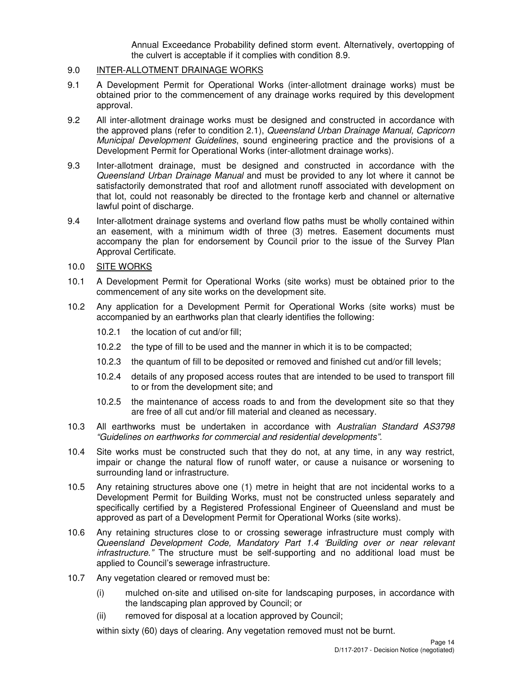Annual Exceedance Probability defined storm event. Alternatively, overtopping of the culvert is acceptable if it complies with condition 8.9.

## 9.0 INTER-ALLOTMENT DRAINAGE WORKS

- 9.1 A Development Permit for Operational Works (inter-allotment drainage works) must be obtained prior to the commencement of any drainage works required by this development approval.
- 9.2 All inter-allotment drainage works must be designed and constructed in accordance with the approved plans (refer to condition 2.1), Queensland Urban Drainage Manual, Capricorn Municipal Development Guidelines, sound engineering practice and the provisions of a Development Permit for Operational Works (inter-allotment drainage works).
- 9.3 Inter-allotment drainage, must be designed and constructed in accordance with the Queensland Urban Drainage Manual and must be provided to any lot where it cannot be satisfactorily demonstrated that roof and allotment runoff associated with development on that lot, could not reasonably be directed to the frontage kerb and channel or alternative lawful point of discharge.
- 9.4 Inter-allotment drainage systems and overland flow paths must be wholly contained within an easement, with a minimum width of three (3) metres. Easement documents must accompany the plan for endorsement by Council prior to the issue of the Survey Plan Approval Certificate.

#### 10.0 SITE WORKS

- 10.1 A Development Permit for Operational Works (site works) must be obtained prior to the commencement of any site works on the development site.
- 10.2 Any application for a Development Permit for Operational Works (site works) must be accompanied by an earthworks plan that clearly identifies the following:
	- 10.2.1 the location of cut and/or fill;
	- 10.2.2 the type of fill to be used and the manner in which it is to be compacted;
	- 10.2.3 the quantum of fill to be deposited or removed and finished cut and/or fill levels;
	- 10.2.4 details of any proposed access routes that are intended to be used to transport fill to or from the development site; and
	- 10.2.5 the maintenance of access roads to and from the development site so that they are free of all cut and/or fill material and cleaned as necessary.
- 10.3 All earthworks must be undertaken in accordance with Australian Standard AS3798 "Guidelines on earthworks for commercial and residential developments".
- 10.4 Site works must be constructed such that they do not, at any time, in any way restrict, impair or change the natural flow of runoff water, or cause a nuisance or worsening to surrounding land or infrastructure.
- 10.5 Any retaining structures above one (1) metre in height that are not incidental works to a Development Permit for Building Works, must not be constructed unless separately and specifically certified by a Registered Professional Engineer of Queensland and must be approved as part of a Development Permit for Operational Works (site works).
- 10.6 Any retaining structures close to or crossing sewerage infrastructure must comply with Queensland Development Code, Mandatory Part 1.4 'Building over or near relevant infrastructure." The structure must be self-supporting and no additional load must be applied to Council's sewerage infrastructure.
- 10.7 Any vegetation cleared or removed must be:
	- (i) mulched on-site and utilised on-site for landscaping purposes, in accordance with the landscaping plan approved by Council; or
	- (ii) removed for disposal at a location approved by Council;

within sixty (60) days of clearing. Any vegetation removed must not be burnt.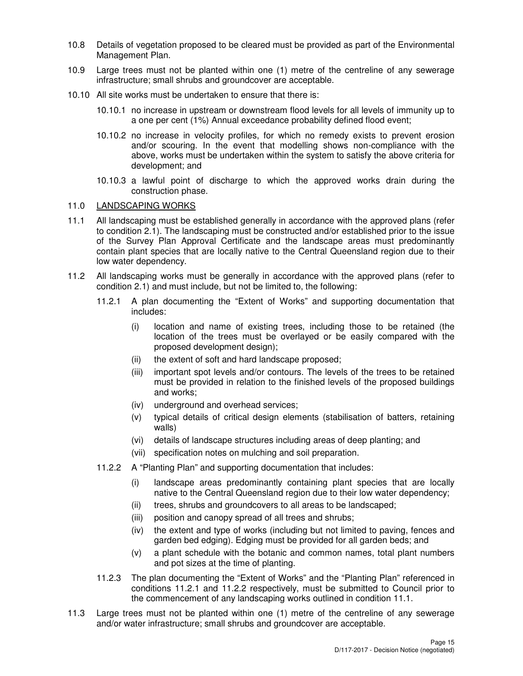- 10.8 Details of vegetation proposed to be cleared must be provided as part of the Environmental Management Plan.
- 10.9 Large trees must not be planted within one (1) metre of the centreline of any sewerage infrastructure; small shrubs and groundcover are acceptable.
- 10.10 All site works must be undertaken to ensure that there is:
	- 10.10.1 no increase in upstream or downstream flood levels for all levels of immunity up to a one per cent (1%) Annual exceedance probability defined flood event;
	- 10.10.2 no increase in velocity profiles, for which no remedy exists to prevent erosion and/or scouring. In the event that modelling shows non-compliance with the above, works must be undertaken within the system to satisfy the above criteria for development; and
	- 10.10.3 a lawful point of discharge to which the approved works drain during the construction phase.

#### 11.0 LANDSCAPING WORKS

- 11.1 All landscaping must be established generally in accordance with the approved plans (refer to condition 2.1). The landscaping must be constructed and/or established prior to the issue of the Survey Plan Approval Certificate and the landscape areas must predominantly contain plant species that are locally native to the Central Queensland region due to their low water dependency.
- 11.2 All landscaping works must be generally in accordance with the approved plans (refer to condition 2.1) and must include, but not be limited to, the following:
	- 11.2.1 A plan documenting the "Extent of Works" and supporting documentation that includes:
		- (i) location and name of existing trees, including those to be retained (the location of the trees must be overlayed or be easily compared with the proposed development design);
		- (ii) the extent of soft and hard landscape proposed;
		- (iii) important spot levels and/or contours. The levels of the trees to be retained must be provided in relation to the finished levels of the proposed buildings and works;
		- (iv) underground and overhead services;
		- (v) typical details of critical design elements (stabilisation of batters, retaining walls)
		- (vi) details of landscape structures including areas of deep planting; and
		- (vii) specification notes on mulching and soil preparation.
	- 11.2.2 A "Planting Plan" and supporting documentation that includes:
		- (i) landscape areas predominantly containing plant species that are locally native to the Central Queensland region due to their low water dependency;
		- (ii) trees, shrubs and groundcovers to all areas to be landscaped;
		- (iii) position and canopy spread of all trees and shrubs;
		- (iv) the extent and type of works (including but not limited to paving, fences and garden bed edging). Edging must be provided for all garden beds; and
		- (v) a plant schedule with the botanic and common names, total plant numbers and pot sizes at the time of planting.
	- 11.2.3 The plan documenting the "Extent of Works" and the "Planting Plan" referenced in conditions 11.2.1 and 11.2.2 respectively, must be submitted to Council prior to the commencement of any landscaping works outlined in condition 11.1.
- 11.3 Large trees must not be planted within one (1) metre of the centreline of any sewerage and/or water infrastructure; small shrubs and groundcover are acceptable.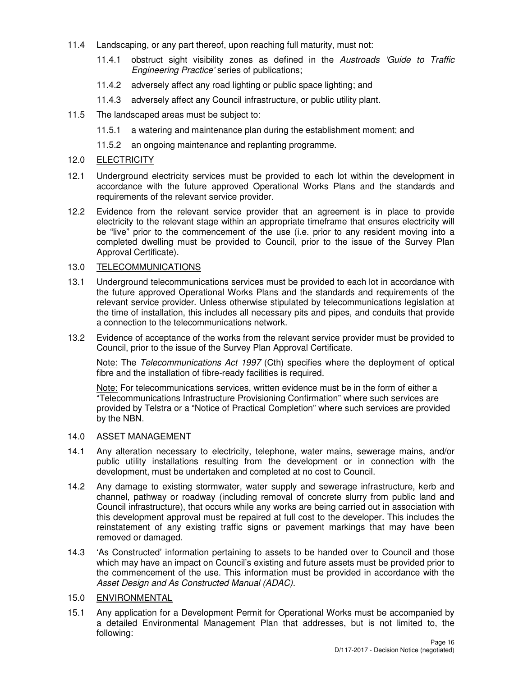- 11.4 Landscaping, or any part thereof, upon reaching full maturity, must not:
	- 11.4.1 obstruct sight visibility zones as defined in the Austroads 'Guide to Traffic Engineering Practice' series of publications;
	- 11.4.2 adversely affect any road lighting or public space lighting; and
	- 11.4.3 adversely affect any Council infrastructure, or public utility plant.
- 11.5 The landscaped areas must be subject to:
	- 11.5.1 a watering and maintenance plan during the establishment moment; and
	- 11.5.2 an ongoing maintenance and replanting programme.
- 12.0 ELECTRICITY
- 12.1 Underground electricity services must be provided to each lot within the development in accordance with the future approved Operational Works Plans and the standards and requirements of the relevant service provider.
- 12.2 Evidence from the relevant service provider that an agreement is in place to provide electricity to the relevant stage within an appropriate timeframe that ensures electricity will be "live" prior to the commencement of the use (i.e. prior to any resident moving into a completed dwelling must be provided to Council, prior to the issue of the Survey Plan Approval Certificate).

## 13.0 TELECOMMUNICATIONS

- 13.1 Underground telecommunications services must be provided to each lot in accordance with the future approved Operational Works Plans and the standards and requirements of the relevant service provider. Unless otherwise stipulated by telecommunications legislation at the time of installation, this includes all necessary pits and pipes, and conduits that provide a connection to the telecommunications network.
- 13.2 Evidence of acceptance of the works from the relevant service provider must be provided to Council, prior to the issue of the Survey Plan Approval Certificate.

Note: The Telecommunications Act 1997 (Cth) specifies where the deployment of optical fibre and the installation of fibre-ready facilities is required.

Note: For telecommunications services, written evidence must be in the form of either a "Telecommunications Infrastructure Provisioning Confirmation" where such services are provided by Telstra or a "Notice of Practical Completion" where such services are provided by the NBN.

## 14.0 ASSET MANAGEMENT

- 14.1 Any alteration necessary to electricity, telephone, water mains, sewerage mains, and/or public utility installations resulting from the development or in connection with the development, must be undertaken and completed at no cost to Council.
- 14.2 Any damage to existing stormwater, water supply and sewerage infrastructure, kerb and channel, pathway or roadway (including removal of concrete slurry from public land and Council infrastructure), that occurs while any works are being carried out in association with this development approval must be repaired at full cost to the developer. This includes the reinstatement of any existing traffic signs or pavement markings that may have been removed or damaged.
- 14.3 'As Constructed' information pertaining to assets to be handed over to Council and those which may have an impact on Council's existing and future assets must be provided prior to the commencement of the use. This information must be provided in accordance with the Asset Design and As Constructed Manual (ADAC).
- 15.0 ENVIRONMENTAL
- 15.1 Any application for a Development Permit for Operational Works must be accompanied by a detailed Environmental Management Plan that addresses, but is not limited to, the following: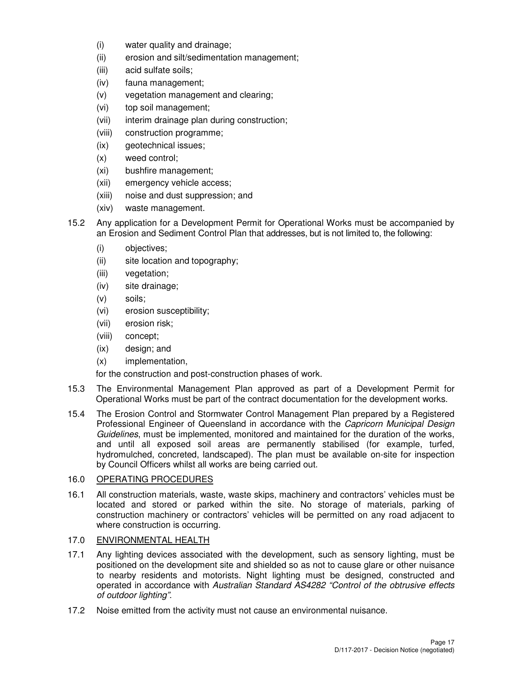- (i) water quality and drainage;
- (ii) erosion and silt/sedimentation management;
- (iii) acid sulfate soils;
- (iv) fauna management;
- (v) vegetation management and clearing;
- (vi) top soil management;
- (vii) interim drainage plan during construction;
- (viii) construction programme;
- (ix) geotechnical issues;
- (x) weed control;
- (xi) bushfire management;
- (xii) emergency vehicle access;
- (xiii) noise and dust suppression; and
- (xiv) waste management.
- 15.2 Any application for a Development Permit for Operational Works must be accompanied by an Erosion and Sediment Control Plan that addresses, but is not limited to, the following:
	- (i) objectives;
	- (ii) site location and topography;
	- (iii) vegetation;
	- (iv) site drainage;
	- (v) soils;
	- (vi) erosion susceptibility;
	- (vii) erosion risk;
	- (viii) concept;
	- (ix) design; and
	- (x) implementation,

for the construction and post-construction phases of work.

- 15.3 The Environmental Management Plan approved as part of a Development Permit for Operational Works must be part of the contract documentation for the development works.
- 15.4 The Erosion Control and Stormwater Control Management Plan prepared by a Registered Professional Engineer of Queensland in accordance with the Capricorn Municipal Design Guidelines, must be implemented, monitored and maintained for the duration of the works, and until all exposed soil areas are permanently stabilised (for example, turfed, hydromulched, concreted, landscaped). The plan must be available on-site for inspection by Council Officers whilst all works are being carried out.

## 16.0 OPERATING PROCEDURES

16.1 All construction materials, waste, waste skips, machinery and contractors' vehicles must be located and stored or parked within the site. No storage of materials, parking of construction machinery or contractors' vehicles will be permitted on any road adjacent to where construction is occurring.

## 17.0 ENVIRONMENTAL HEALTH

- 17.1 Any lighting devices associated with the development, such as sensory lighting, must be positioned on the development site and shielded so as not to cause glare or other nuisance to nearby residents and motorists. Night lighting must be designed, constructed and operated in accordance with Australian Standard AS4282 "Control of the obtrusive effects of outdoor lighting".
- 17.2 Noise emitted from the activity must not cause an environmental nuisance.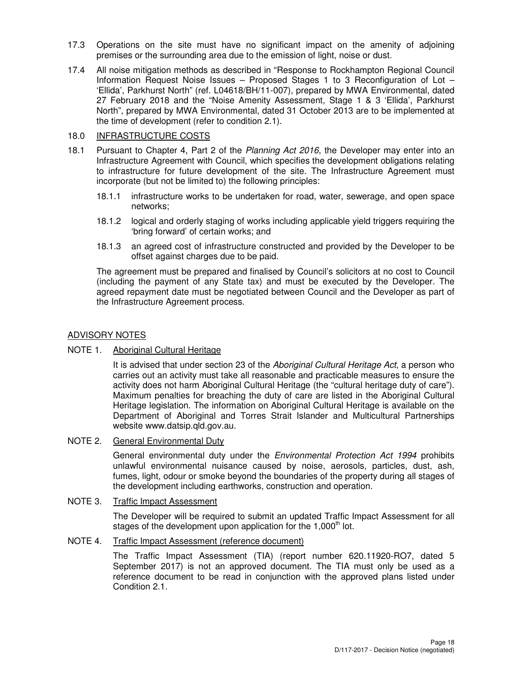- 17.3 Operations on the site must have no significant impact on the amenity of adjoining premises or the surrounding area due to the emission of light, noise or dust.
- 17.4 All noise mitigation methods as described in "Response to Rockhampton Regional Council Information Request Noise Issues – Proposed Stages 1 to 3 Reconfiguration of Lot – 'Ellida', Parkhurst North" (ref. L04618/BH/11-007), prepared by MWA Environmental, dated 27 February 2018 and the "Noise Amenity Assessment, Stage 1 & 3 'Ellida', Parkhurst North", prepared by MWA Environmental, dated 31 October 2013 are to be implemented at the time of development (refer to condition 2.1).

## 18.0 INFRASTRUCTURE COSTS

- 18.1 Pursuant to Chapter 4, Part 2 of the Planning Act 2016, the Developer may enter into an Infrastructure Agreement with Council, which specifies the development obligations relating to infrastructure for future development of the site. The Infrastructure Agreement must incorporate (but not be limited to) the following principles:
	- 18.1.1 infrastructure works to be undertaken for road, water, sewerage, and open space networks;
	- 18.1.2 logical and orderly staging of works including applicable yield triggers requiring the 'bring forward' of certain works; and
	- 18.1.3 an agreed cost of infrastructure constructed and provided by the Developer to be offset against charges due to be paid.

The agreement must be prepared and finalised by Council's solicitors at no cost to Council (including the payment of any State tax) and must be executed by the Developer. The agreed repayment date must be negotiated between Council and the Developer as part of the Infrastructure Agreement process.

## ADVISORY NOTES

#### NOTE 1. Aboriginal Cultural Heritage

It is advised that under section 23 of the Aboriginal Cultural Heritage Act, a person who carries out an activity must take all reasonable and practicable measures to ensure the activity does not harm Aboriginal Cultural Heritage (the "cultural heritage duty of care"). Maximum penalties for breaching the duty of care are listed in the Aboriginal Cultural Heritage legislation. The information on Aboriginal Cultural Heritage is available on the Department of Aboriginal and Torres Strait Islander and Multicultural Partnerships website www.datsip.qld.gov.au.

#### NOTE 2. General Environmental Duty

General environmental duty under the *Environmental Protection Act 1994* prohibits unlawful environmental nuisance caused by noise, aerosols, particles, dust, ash, fumes, light, odour or smoke beyond the boundaries of the property during all stages of the development including earthworks, construction and operation.

#### NOTE 3. Traffic Impact Assessment

The Developer will be required to submit an updated Traffic Impact Assessment for all stages of the development upon application for the 1,000<sup>th</sup> lot.

#### NOTE 4. Traffic Impact Assessment (reference document)

The Traffic Impact Assessment (TIA) (report number 620.11920-RO7, dated 5 September 2017) is not an approved document. The TIA must only be used as a reference document to be read in conjunction with the approved plans listed under Condition 2.1.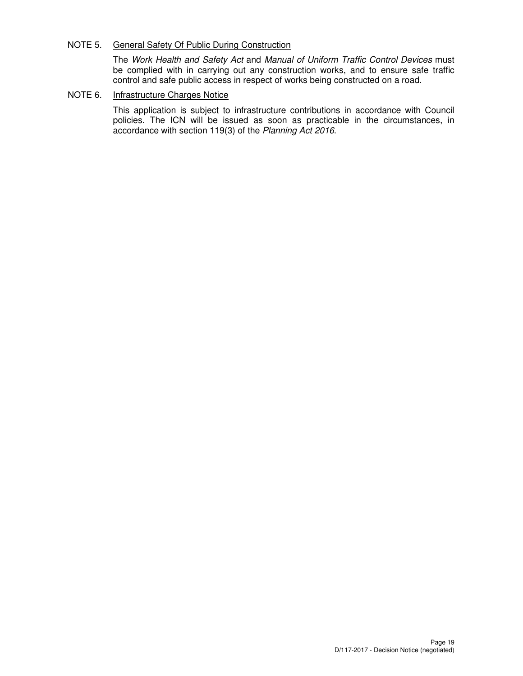## NOTE 5. General Safety Of Public During Construction

The Work Health and Safety Act and Manual of Uniform Traffic Control Devices must be complied with in carrying out any construction works, and to ensure safe traffic control and safe public access in respect of works being constructed on a road.

## NOTE 6. Infrastructure Charges Notice

This application is subject to infrastructure contributions in accordance with Council policies. The ICN will be issued as soon as practicable in the circumstances, in accordance with section 119(3) of the Planning Act 2016.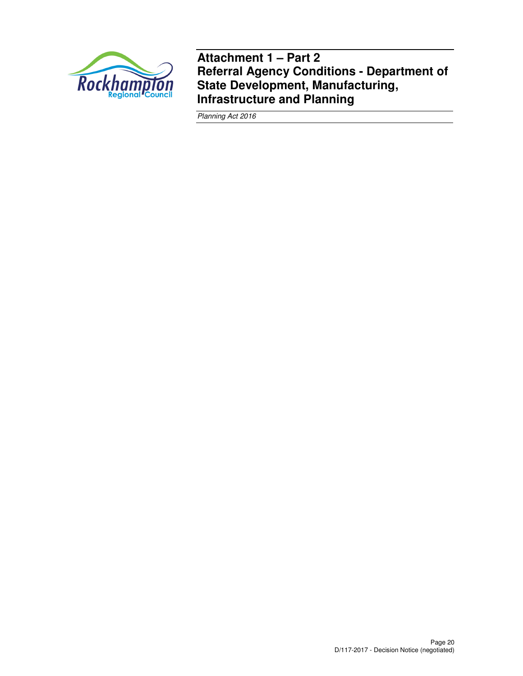

**Attachment 1 – Part 2 Referral Agency Conditions - Department of State Development, Manufacturing, Infrastructure and Planning** 

Planning Act 2016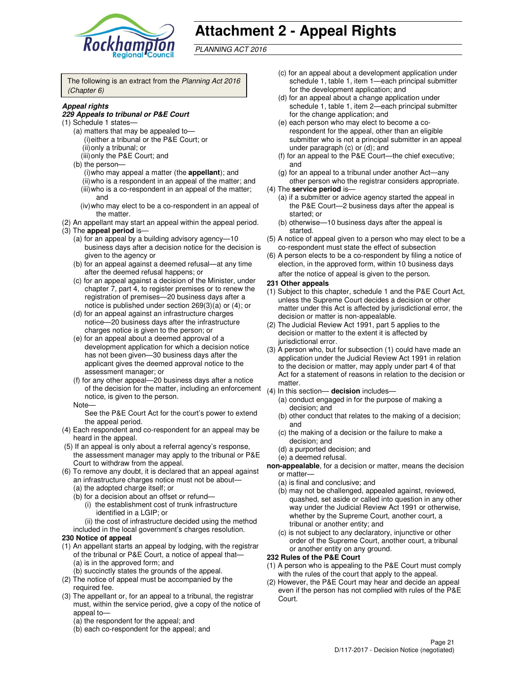

# **Attachment 2 - Appeal Rights**

PLANNING ACT 2016

The following is an extract from the Planning Act 2016 (Chapter 6)

#### **Appeal rights**

#### **229 Appeals to tribunal or P&E Court**

- (1) Schedule 1 states—
	- (a) matters that may be appealed to— (i) either a tribunal or the P&E Court; or (ii) only a tribunal; or
	- (iii) only the P&E Court; and
	- (b) the person—
		- (i) who may appeal a matter (the **appellant**); and
		- (ii) who is a respondent in an appeal of the matter; and (iii) who is a co-respondent in an appeal of the matter; and
		- (iv) who may elect to be a co-respondent in an appeal of the matter.
- (2) An appellant may start an appeal within the appeal period. (3) The **appeal period** is—
	- (a) for an appeal by a building advisory agency—10 business days after a decision notice for the decision is given to the agency or
	- (b) for an appeal against a deemed refusal—at any time after the deemed refusal happens; or
	- (c) for an appeal against a decision of the Minister, under chapter 7, part 4, to register premises or to renew the registration of premises—20 business days after a notice is published under section 269(3)(a) or (4); or
	- (d) for an appeal against an infrastructure charges notice—20 business days after the infrastructure charges notice is given to the person; or
	- (e) for an appeal about a deemed approval of a development application for which a decision notice has not been given—30 business days after the applicant gives the deemed approval notice to the assessment manager; or
	- (f) for any other appeal—20 business days after a notice or any other appear—zo business days after a notice<br>of the decision for the matter, including an enforcement (4) In this s notice, is given to the person.

#### Note—

See the P&E Court Act for the court's power to extend the appeal period.

- (4) Each respondent and co-respondent for an appeal may be heard in the appeal.
- (5) If an appeal is only about a referral agency's response, the assessment manager may apply to the tribunal or P&E Court to withdraw from the appeal.
- (6) To remove any doubt, it is declared that an appeal against an infrastructure charges notice must not be about— (a) the adopted charge itself; or
	- (b) for a decision about an offset or refund—
		- (i) the establishment cost of trunk infrastructure identified in a LGIP; or
		- (ii) the cost of infrastructure decided using the method
	- included in the local government's charges resolution.

#### **230 Notice of appeal**

(1) An appellant starts an appeal by lodging, with the registrar of the tribunal or P&E Court, a notice of appeal that— (a) is in the approved form; and

(b) succinctly states the grounds of the appeal.

- (2) The notice of appeal must be accompanied by the required fee.
- (3) The appellant or, for an appeal to a tribunal, the registrar must, within the service period, give a copy of the notice of appeal to—
	- (a) the respondent for the appeal; and
	- (b) each co-respondent for the appeal; and
- (c) for an appeal about a development application under schedule 1, table 1, item 1—each principal submitter for the development application; and
- (d) for an appeal about a change application under schedule 1, table 1, item 2—each principal submitter for the change application; and
- (e) each person who may elect to become a corespondent for the appeal, other than an eligible submitter who is not a principal submitter in an appeal under paragraph (c) or (d); and
- (f) for an appeal to the P&E Court—the chief executive; and
- (g) for an appeal to a tribunal under another Act—any other person who the registrar considers appropriate.
- (4) The **service period** is—
	- (a) if a submitter or advice agency started the appeal in the P&E Court—2 business days after the appeal is started; or
	- (b) otherwise—10 business days after the appeal is started.
- (5) A notice of appeal given to a person who may elect to be a co-respondent must state the effect of subsection
- (6) A person elects to be a co-respondent by filing a notice of election, in the approved form, within 10 business days after the notice of appeal is given to the person*.*

#### **231 Other appeals**

- (1) Subject to this chapter, schedule 1 and the P&E Court Act, unless the Supreme Court decides a decision or other matter under this Act is affected by jurisdictional error, the decision or matter is non-appealable.
- (2) The Judicial Review Act 1991, part 5 applies to the decision or matter to the extent it is affected by jurisdictional error.
- (3) A person who, but for subsection (1) could have made an application under the Judicial Review Act 1991 in relation to the decision or matter, may apply under part 4 of that Act for a statement of reasons in relation to the decision or
- (4) In this section— **decision** includes—
	- (a) conduct engaged in for the purpose of making a decision; and
	- (b) other conduct that relates to the making of a decision; and
	- (c) the making of a decision or the failure to make a decision; and
	- (d) a purported decision; and
	- (e) a deemed refusal.
- **non-appealable**, for a decision or matter, means the decision or matter—
	- (a) is final and conclusive; and
	- (b) may not be challenged, appealed against, reviewed, quashed, set aside or called into question in any other way under the Judicial Review Act 1991 or otherwise, whether by the Supreme Court, another court, a tribunal or another entity; and
	- (c) is not subject to any declaratory, injunctive or other order of the Supreme Court, another court, a tribunal or another entity on any ground.

#### **232 Rules of the P&E Court**

- (1) A person who is appealing to the P&E Court must comply with the rules of the court that apply to the appeal.
- (2) However, the P&E Court may hear and decide an appeal even if the person has not complied with rules of the P&E Court.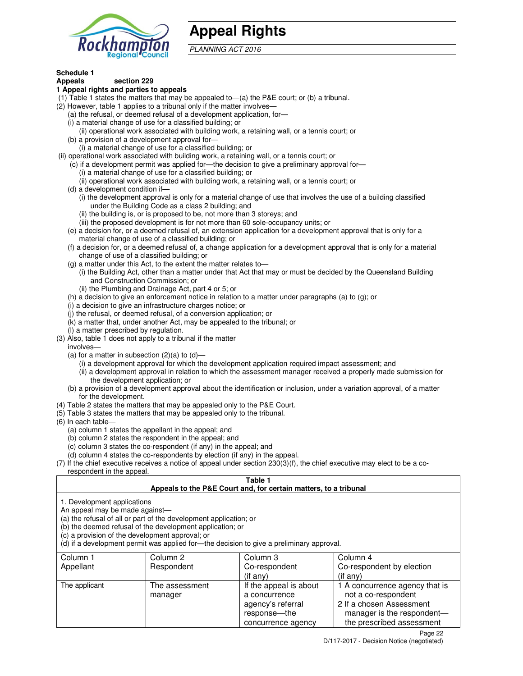

# **Appeal Rights**

PLANNING ACT 2016

## **Schedule 1**

#### **Appeals section 229 1 Appeal rights and parties to appeals**

- (1) Table 1 states the matters that may be appealed to—(a) the P&E court; or (b) a tribunal.
- (2) However, table 1 applies to a tribunal only if the matter involves—
	- (a) the refusal, or deemed refusal of a development application, for—
	- (i) a material change of use for a classified building; or
	- (ii) operational work associated with building work, a retaining wall, or a tennis court; or
	- (b) a provision of a development approval for—
	- (i) a material change of use for a classified building; or
- (ii) operational work associated with building work, a retaining wall, or a tennis court; or
	- (c) if a development permit was applied for—the decision to give a preliminary approval for—
		- (i) a material change of use for a classified building; or
		- (ii) operational work associated with building work, a retaining wall, or a tennis court; or
	- (d) a development condition if—
		- (i) the development approval is only for a material change of use that involves the use of a building classified under the Building Code as a class 2 building; and
		- (ii) the building is, or is proposed to be, not more than 3 storeys; and
		- (iii) the proposed development is for not more than 60 sole-occupancy units; or
	- (e) a decision for, or a deemed refusal of, an extension application for a development approval that is only for a material change of use of a classified building; or
	- (f) a decision for, or a deemed refusal of, a change application for a development approval that is only for a material change of use of a classified building; or
	- (g) a matter under this Act, to the extent the matter relates to—
		- (i) the Building Act, other than a matter under that Act that may or must be decided by the Queensland Building and Construction Commission; or
		- (ii) the Plumbing and Drainage Act, part 4 or 5; or
	- (h) a decision to give an enforcement notice in relation to a matter under paragraphs (a) to (g); or
	- (i) a decision to give an infrastructure charges notice; or
	- (j) the refusal, or deemed refusal, of a conversion application; or
	- (k) a matter that, under another Act, may be appealed to the tribunal; or
	- (l) a matter prescribed by regulation.
- (3) Also, table 1 does not apply to a tribunal if the matter
- involves—
	- (a) for a matter in subsection  $(2)(a)$  to  $(d)$ 
		- (i) a development approval for which the development application required impact assessment; and
		- (ii) a development approval in relation to which the assessment manager received a properly made submission for the development application; or
	- (b) a provision of a development approval about the identification or inclusion, under a variation approval, of a matter for the development.
- (4) Table 2 states the matters that may be appealed only to the P&E Court.
- (5) Table 3 states the matters that may be appealed only to the tribunal.
- (6) In each table—
	- (a) column 1 states the appellant in the appeal; and
	- (b) column 2 states the respondent in the appeal; and
	- (c) column 3 states the co-respondent (if any) in the appeal; and
	- (d) column 4 states the co-respondents by election (if any) in the appeal.
- $(7)$  If the chief executive receives a notice of appeal under section  $230(3)(f)$ , the chief executive may elect to be a corespondent in the appeal.

## **Table 1**

#### **Appeals to the P&E Court and, for certain matters, to a tribunal**

1. Development applications

An appeal may be made against—

(a) the refusal of all or part of the development application; or

(b) the deemed refusal of the development application; or

(c) a provision of the development approval; or

(d) if a development permit was applied for—the decision to give a preliminary approval.

| Column 1<br>Appellant | Column 2<br>Respondent    | Column 3<br>Co-respondent                                                                            | Column 4<br>Co-respondent by election                                                                                                        |
|-----------------------|---------------------------|------------------------------------------------------------------------------------------------------|----------------------------------------------------------------------------------------------------------------------------------------------|
|                       |                           | $($ if any $)$                                                                                       | $($ if any $)$                                                                                                                               |
| The applicant         | The assessment<br>manager | If the appeal is about<br>a concurrence<br>agency's referral<br>response---the<br>concurrence agency | 1 A concurrence agency that is<br>not a co-respondent<br>2 If a chosen Assessment<br>manager is the respondent-<br>the prescribed assessment |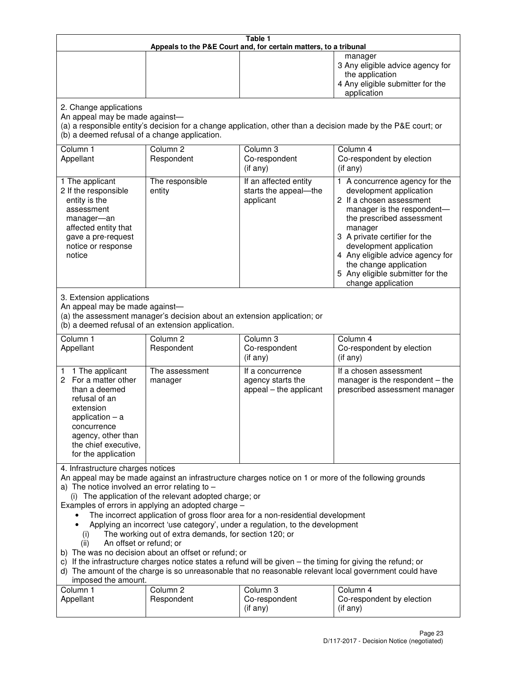| Table 1<br>Appeals to the P&E Court and, for certain matters, to a tribunal                                                                                                                                                                                                                                                                                                                                                                                                                                                                                                                                                                                                                                                                                                                                                                                                                 |                                   |                                                                 |                                                                                                                                                                                                                                                                                                                                                 |  |
|---------------------------------------------------------------------------------------------------------------------------------------------------------------------------------------------------------------------------------------------------------------------------------------------------------------------------------------------------------------------------------------------------------------------------------------------------------------------------------------------------------------------------------------------------------------------------------------------------------------------------------------------------------------------------------------------------------------------------------------------------------------------------------------------------------------------------------------------------------------------------------------------|-----------------------------------|-----------------------------------------------------------------|-------------------------------------------------------------------------------------------------------------------------------------------------------------------------------------------------------------------------------------------------------------------------------------------------------------------------------------------------|--|
|                                                                                                                                                                                                                                                                                                                                                                                                                                                                                                                                                                                                                                                                                                                                                                                                                                                                                             |                                   |                                                                 | manager<br>3 Any eligible advice agency for<br>the application<br>4 Any eligible submitter for the<br>application                                                                                                                                                                                                                               |  |
| 2. Change applications<br>An appeal may be made against-<br>(b) a deemed refusal of a change application.                                                                                                                                                                                                                                                                                                                                                                                                                                                                                                                                                                                                                                                                                                                                                                                   |                                   |                                                                 | (a) a responsible entity's decision for a change application, other than a decision made by the P&E court; or                                                                                                                                                                                                                                   |  |
| Column 1<br>Appellant                                                                                                                                                                                                                                                                                                                                                                                                                                                                                                                                                                                                                                                                                                                                                                                                                                                                       | Column <sub>2</sub><br>Respondent | Column <sub>3</sub><br>Co-respondent<br>(if any)                | Column 4<br>Co-respondent by election<br>(if any)                                                                                                                                                                                                                                                                                               |  |
| 1 The applicant<br>2 If the responsible<br>entity is the<br>assessment<br>manager-an<br>affected entity that<br>gave a pre-request<br>notice or response<br>notice                                                                                                                                                                                                                                                                                                                                                                                                                                                                                                                                                                                                                                                                                                                          | The responsible<br>entity         | If an affected entity<br>starts the appeal-the<br>applicant     | 1 A concurrence agency for the<br>development application<br>2 If a chosen assessment<br>manager is the respondent-<br>the prescribed assessment<br>manager<br>3 A private certifier for the<br>development application<br>4 Any eligible advice agency for<br>the change application<br>5 Any eligible submitter for the<br>change application |  |
| 3. Extension applications<br>An appeal may be made against-<br>(a) the assessment manager's decision about an extension application; or<br>(b) a deemed refusal of an extension application.                                                                                                                                                                                                                                                                                                                                                                                                                                                                                                                                                                                                                                                                                                |                                   |                                                                 |                                                                                                                                                                                                                                                                                                                                                 |  |
| Column 1<br>Appellant                                                                                                                                                                                                                                                                                                                                                                                                                                                                                                                                                                                                                                                                                                                                                                                                                                                                       | Column <sub>2</sub><br>Respondent | Column 3<br>Co-respondent<br>(if any)                           | Column 4<br>Co-respondent by election<br>(if any)                                                                                                                                                                                                                                                                                               |  |
| 1 The applicant<br>1.<br>2 For a matter other<br>than a deemed<br>refusal of an<br>extension<br>application $-$ a<br>concurrence<br>agency, other than<br>the chief executive,<br>for the application                                                                                                                                                                                                                                                                                                                                                                                                                                                                                                                                                                                                                                                                                       | The assessment<br>manager         | If a concurrence<br>agency starts the<br>appeal - the applicant | If a chosen assessment<br>manager is the respondent $-$ the<br>prescribed assessment manager                                                                                                                                                                                                                                                    |  |
| 4. Infrastructure charges notices<br>An appeal may be made against an infrastructure charges notice on 1 or more of the following grounds<br>a) The notice involved an error relating to $-$<br>(i) The application of the relevant adopted charge; or<br>Examples of errors in applying an adopted charge -<br>The incorrect application of gross floor area for a non-residential development<br>Applying an incorrect 'use category', under a regulation, to the development<br>The working out of extra demands, for section 120; or<br>(i)<br>An offset or refund; or<br>(ii)<br>b) The was no decision about an offset or refund; or<br>c) If the infrastructure charges notice states a refund will be given - the timing for giving the refund; or<br>d) The amount of the charge is so unreasonable that no reasonable relevant local government could have<br>imposed the amount. |                                   |                                                                 |                                                                                                                                                                                                                                                                                                                                                 |  |
| Column 1<br>Appellant                                                                                                                                                                                                                                                                                                                                                                                                                                                                                                                                                                                                                                                                                                                                                                                                                                                                       | Column <sub>2</sub><br>Respondent | Column 3<br>Co-respondent<br>(if any)                           | Column 4<br>Co-respondent by election<br>(if any)                                                                                                                                                                                                                                                                                               |  |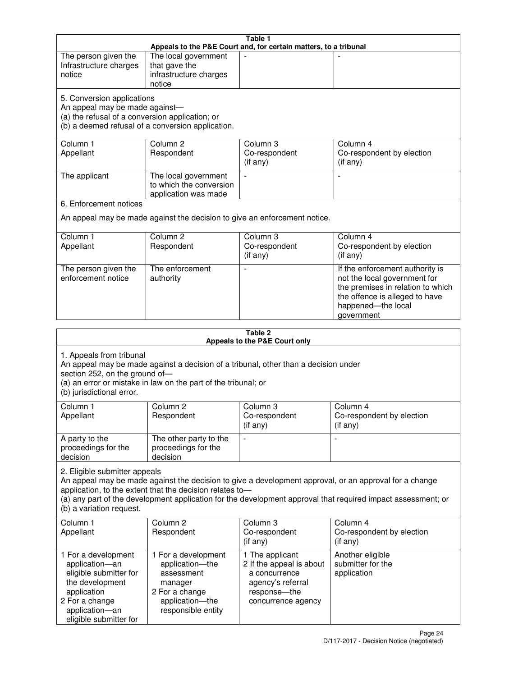| Table 1<br>Appeals to the P&E Court and, for certain matters, to a tribunal                                                                                                                                                                                                                                                                     |                                                                                                                            |                                                                                                                         |                                                                                                                                                                            |  |
|-------------------------------------------------------------------------------------------------------------------------------------------------------------------------------------------------------------------------------------------------------------------------------------------------------------------------------------------------|----------------------------------------------------------------------------------------------------------------------------|-------------------------------------------------------------------------------------------------------------------------|----------------------------------------------------------------------------------------------------------------------------------------------------------------------------|--|
| The person given the<br>Infrastructure charges<br>notice                                                                                                                                                                                                                                                                                        | The local government<br>that gave the<br>infrastructure charges<br>notice                                                  |                                                                                                                         |                                                                                                                                                                            |  |
| 5. Conversion applications<br>An appeal may be made against-<br>(a) the refusal of a conversion application; or<br>(b) a deemed refusal of a conversion application.                                                                                                                                                                            |                                                                                                                            |                                                                                                                         |                                                                                                                                                                            |  |
| Column 1<br>Appellant                                                                                                                                                                                                                                                                                                                           | Column <sub>2</sub><br>Respondent                                                                                          | Column 3<br>Co-respondent<br>(if any)                                                                                   | Column 4<br>Co-respondent by election<br>(if any)                                                                                                                          |  |
| The applicant                                                                                                                                                                                                                                                                                                                                   | The local government<br>to which the conversion<br>application was made                                                    | $\sim$                                                                                                                  | $\overline{\phantom{a}}$                                                                                                                                                   |  |
| 6. Enforcement notices                                                                                                                                                                                                                                                                                                                          |                                                                                                                            |                                                                                                                         |                                                                                                                                                                            |  |
|                                                                                                                                                                                                                                                                                                                                                 | An appeal may be made against the decision to give an enforcement notice.                                                  |                                                                                                                         |                                                                                                                                                                            |  |
| Column 1<br>Appellant                                                                                                                                                                                                                                                                                                                           | Column <sub>2</sub><br>Respondent                                                                                          | Column 3<br>Co-respondent<br>(if any)                                                                                   | Column 4<br>Co-respondent by election<br>(if any)                                                                                                                          |  |
| The person given the<br>enforcement notice                                                                                                                                                                                                                                                                                                      | The enforcement<br>authority                                                                                               |                                                                                                                         | If the enforcement authority is<br>not the local government for<br>the premises in relation to which<br>the offence is alleged to have<br>happened-the local<br>government |  |
|                                                                                                                                                                                                                                                                                                                                                 |                                                                                                                            | Table 2                                                                                                                 |                                                                                                                                                                            |  |
| Appeals to the P&E Court only<br>1. Appeals from tribunal<br>An appeal may be made against a decision of a tribunal, other than a decision under<br>section 252, on the ground of-<br>(a) an error or mistake in law on the part of the tribunal; or<br>(b) jurisdictional error.                                                               |                                                                                                                            |                                                                                                                         |                                                                                                                                                                            |  |
| Column <sub>1</sub><br>Appellant                                                                                                                                                                                                                                                                                                                | Column <sub>2</sub><br>Respondent                                                                                          | Column 3<br>Co-respondent<br>$($ if any $)$                                                                             | Column 4<br>Co-respondent by election<br>$($ if any $)$                                                                                                                    |  |
| A party to the<br>proceedings for the<br>decision                                                                                                                                                                                                                                                                                               | The other party to the<br>proceedings for the<br>decision                                                                  | $\blacksquare$                                                                                                          | $\overline{a}$                                                                                                                                                             |  |
| 2. Eligible submitter appeals<br>An appeal may be made against the decision to give a development approval, or an approval for a change<br>application, to the extent that the decision relates to-<br>(a) any part of the development application for the development approval that required impact assessment; or<br>(b) a variation request. |                                                                                                                            |                                                                                                                         |                                                                                                                                                                            |  |
| Column 1<br>Appellant                                                                                                                                                                                                                                                                                                                           | Column 2<br>Respondent                                                                                                     | Column 3<br>Co-respondent<br>(if any)                                                                                   | Column 4<br>Co-respondent by election<br>(if any)                                                                                                                          |  |
| 1 For a development<br>application-an<br>eligible submitter for<br>the development<br>application<br>2 For a change<br>application-an<br>eligible submitter for                                                                                                                                                                                 | 1 For a development<br>application-the<br>assessment<br>manager<br>2 For a change<br>application-the<br>responsible entity | 1 The applicant<br>2 If the appeal is about<br>a concurrence<br>agency's referral<br>response-the<br>concurrence agency | Another eligible<br>submitter for the<br>application                                                                                                                       |  |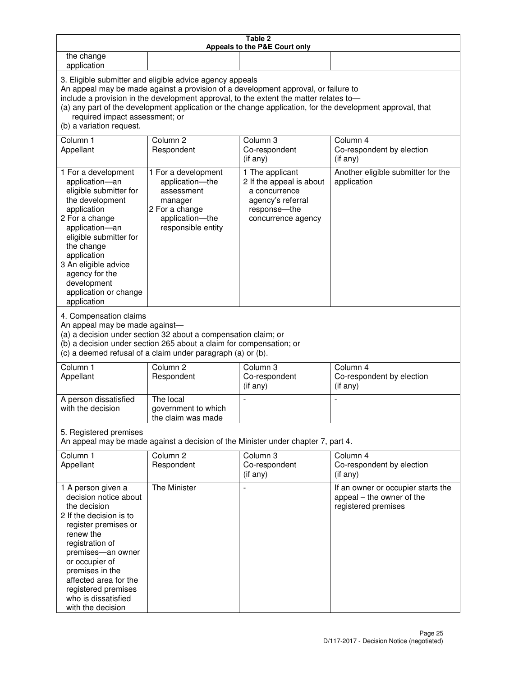| Table 2<br>Appeals to the P&E Court only                                                                                                                                                                                                                                                                                                                                                                           |                                                                                                                                                                                                      |                                                                                                                         |                                                                                        |  |
|--------------------------------------------------------------------------------------------------------------------------------------------------------------------------------------------------------------------------------------------------------------------------------------------------------------------------------------------------------------------------------------------------------------------|------------------------------------------------------------------------------------------------------------------------------------------------------------------------------------------------------|-------------------------------------------------------------------------------------------------------------------------|----------------------------------------------------------------------------------------|--|
| the change<br>application                                                                                                                                                                                                                                                                                                                                                                                          |                                                                                                                                                                                                      |                                                                                                                         |                                                                                        |  |
| 3. Eligible submitter and eligible advice agency appeals<br>An appeal may be made against a provision of a development approval, or failure to<br>include a provision in the development approval, to the extent the matter relates to-<br>(a) any part of the development application or the change application, for the development approval, that<br>required impact assessment; or<br>(b) a variation request. |                                                                                                                                                                                                      |                                                                                                                         |                                                                                        |  |
| Column 1<br>Appellant                                                                                                                                                                                                                                                                                                                                                                                              | Column <sub>2</sub><br>Respondent                                                                                                                                                                    | Column 3<br>Co-respondent<br>(if any)                                                                                   | Column 4<br>Co-respondent by election<br>(if any)                                      |  |
| 1 For a development<br>application-an<br>eligible submitter for<br>the development<br>application<br>2 For a change<br>application-an<br>eligible submitter for<br>the change<br>application<br>3 An eligible advice<br>agency for the<br>development<br>application or change<br>application                                                                                                                      | 1 For a development<br>application-the<br>assessment<br>manager<br>2 For a change<br>application-the<br>responsible entity                                                                           | 1 The applicant<br>2 If the appeal is about<br>a concurrence<br>agency's referral<br>response-the<br>concurrence agency | Another eligible submitter for the<br>application                                      |  |
| 4. Compensation claims<br>An appeal may be made against-                                                                                                                                                                                                                                                                                                                                                           | (a) a decision under section 32 about a compensation claim; or<br>(b) a decision under section 265 about a claim for compensation; or<br>(c) a deemed refusal of a claim under paragraph (a) or (b). |                                                                                                                         |                                                                                        |  |
| Column <sub>1</sub><br>Appellant                                                                                                                                                                                                                                                                                                                                                                                   | Column <sub>2</sub><br>Respondent                                                                                                                                                                    | Column 3<br>Co-respondent<br>(if any)                                                                                   | Column 4<br>Co-respondent by election<br>(if any)                                      |  |
| A person dissatisfied<br>with the decision                                                                                                                                                                                                                                                                                                                                                                         | The local<br>government to which<br>the claim was made                                                                                                                                               |                                                                                                                         |                                                                                        |  |
| 5. Registered premises                                                                                                                                                                                                                                                                                                                                                                                             |                                                                                                                                                                                                      | An appeal may be made against a decision of the Minister under chapter 7, part 4.                                       |                                                                                        |  |
| Column 1<br>Appellant                                                                                                                                                                                                                                                                                                                                                                                              | Column <sub>2</sub><br>Respondent                                                                                                                                                                    | Column 3<br>Co-respondent<br>(if any)                                                                                   | Column 4<br>Co-respondent by election<br>(if any)                                      |  |
| 1 A person given a<br>decision notice about<br>the decision<br>2 If the decision is to<br>register premises or<br>renew the<br>registration of<br>premises-an owner<br>or occupier of<br>premises in the<br>affected area for the<br>registered premises<br>who is dissatisfied<br>with the decision                                                                                                               | The Minister                                                                                                                                                                                         | $\sim$                                                                                                                  | If an owner or occupier starts the<br>appeal – the owner of the<br>registered premises |  |